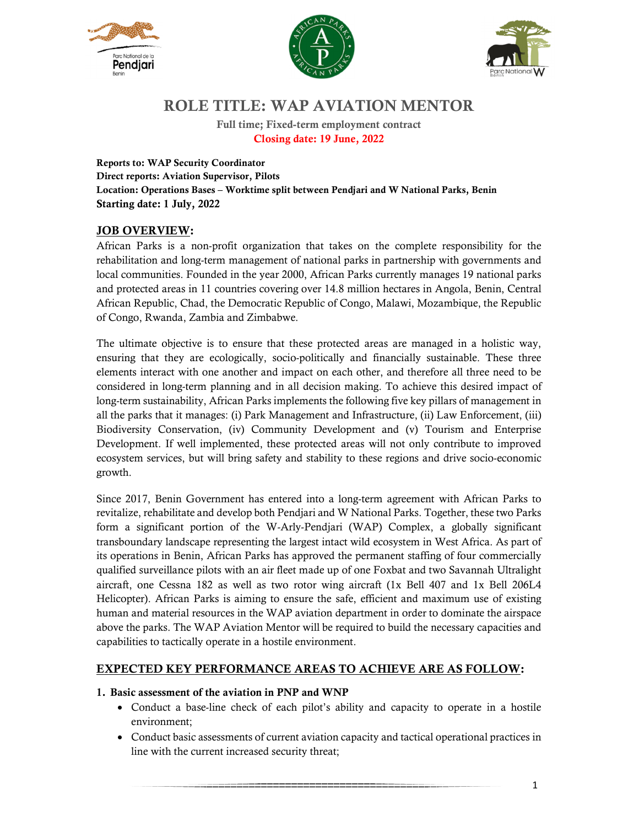





# **ROLE TITLE: WAP AVIATION MENTOR**

**Full time; Fixed-term employment contract Closing date: 19 June, 2022**

**Reports to: WAP Security Coordinator Direct reports: Aviation Supervisor, Pilots Location: Operations Bases – Worktime split between Pendjari and W National Parks, Benin Starting date: 1 July, 2022** 

## **JOB OVERVIEW:**

African Parks is a non-profit organization that takes on the complete responsibility for the rehabilitation and long-term management of national parks in partnership with governments and local communities. Founded in the year 2000, African Parks currently manages 19 national parks and protected areas in 11 countries covering over 14.8 million hectares in Angola, Benin, Central African Republic, Chad, the Democratic Republic of Congo, Malawi, Mozambique, the Republic of Congo, Rwanda, Zambia and Zimbabwe.

The ultimate objective is to ensure that these protected areas are managed in a holistic way, ensuring that they are ecologically, socio-politically and financially sustainable. These three elements interact with one another and impact on each other, and therefore all three need to be considered in long-term planning and in all decision making. To achieve this desired impact of long-term sustainability, African Parks implements the following five key pillars of management in all the parks that it manages: (i) Park Management and Infrastructure, (ii) Law Enforcement, (iii) Biodiversity Conservation, (iv) Community Development and (v) Tourism and Enterprise Development. If well implemented, these protected areas will not only contribute to improved ecosystem services, but will bring safety and stability to these regions and drive socio-economic growth.

Since 2017, Benin Government has entered into a long-term agreement with African Parks to revitalize, rehabilitate and develop both Pendjari and W National Parks. Together, these two Parks form a significant portion of the W-Arly-Pendjari (WAP) Complex, a globally significant transboundary landscape representing the largest intact wild ecosystem in West Africa. As part of its operations in Benin, African Parks has approved the permanent staffing of four commercially qualified surveillance pilots with an air fleet made up of one Foxbat and two Savannah Ultralight aircraft, one Cessna 182 as well as two rotor wing aircraft (1x Bell 407 and 1x Bell 206L4 Helicopter). African Parks is aiming to ensure the safe, efficient and maximum use of existing human and material resources in the WAP aviation department in order to dominate the airspace above the parks. The WAP Aviation Mentor will be required to build the necessary capacities and capabilities to tactically operate in a hostile environment.

## **EXPECTED KEY PERFORMANCE AREAS TO ACHIEVE ARE AS FOLLOW:**

#### **1. Basic assessment of the aviation in PNP and WNP**

- Conduct a base-line check of each pilot's ability and capacity to operate in a hostile environment;
- Conduct basic assessments of current aviation capacity and tactical operational practices in line with the current increased security threat;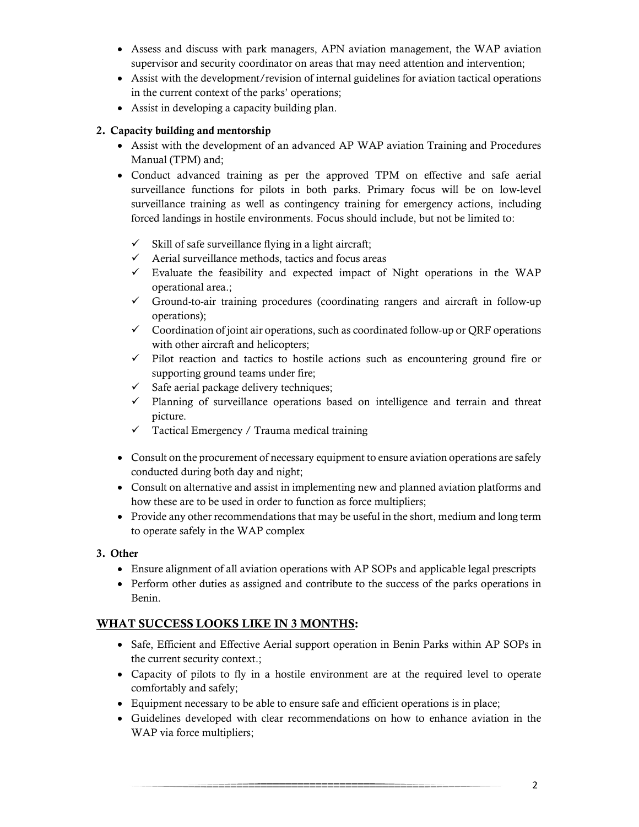- Assess and discuss with park managers, APN aviation management, the WAP aviation supervisor and security coordinator on areas that may need attention and intervention;
- Assist with the development/revision of internal guidelines for aviation tactical operations in the current context of the parks' operations;
- Assist in developing a capacity building plan.

#### **2. Capacity building and mentorship**

- Assist with the development of an advanced AP WAP aviation Training and Procedures Manual (TPM) and;
- Conduct advanced training as per the approved TPM on effective and safe aerial surveillance functions for pilots in both parks. Primary focus will be on low-level surveillance training as well as contingency training for emergency actions, including forced landings in hostile environments. Focus should include, but not be limited to:
	- $\checkmark$  Skill of safe surveillance flying in a light aircraft;
	- $\checkmark$  Aerial surveillance methods, tactics and focus areas
	- $\checkmark$  Evaluate the feasibility and expected impact of Night operations in the WAP operational area.;
	- Ground-to-air training procedures (coordinating rangers and aircraft in follow-up operations);
	- $\checkmark$  Coordination of joint air operations, such as coordinated follow-up or ORF operations with other aircraft and helicopters;
	- $\checkmark$  Pilot reaction and tactics to hostile actions such as encountering ground fire or supporting ground teams under fire;
	- $\checkmark$  Safe aerial package delivery techniques;
	- $\checkmark$  Planning of surveillance operations based on intelligence and terrain and threat picture.
	- $\checkmark$  Tactical Emergency / Trauma medical training
- Consult on the procurement of necessary equipment to ensure aviation operations are safely conducted during both day and night;
- Consult on alternative and assist in implementing new and planned aviation platforms and how these are to be used in order to function as force multipliers;
- Provide any other recommendations that may be useful in the short, medium and long term to operate safely in the WAP complex

## **3. Other**

- Ensure alignment of all aviation operations with AP SOPs and applicable legal prescripts
- Perform other duties as assigned and contribute to the success of the parks operations in Benin.

## **WHAT SUCCESS LOOKS LIKE IN 3 MONTHS:**

- Safe, Efficient and Effective Aerial support operation in Benin Parks within AP SOPs in the current security context.;
- Capacity of pilots to fly in a hostile environment are at the required level to operate comfortably and safely;
- Equipment necessary to be able to ensure safe and efficient operations is in place;
- Guidelines developed with clear recommendations on how to enhance aviation in the WAP via force multipliers;